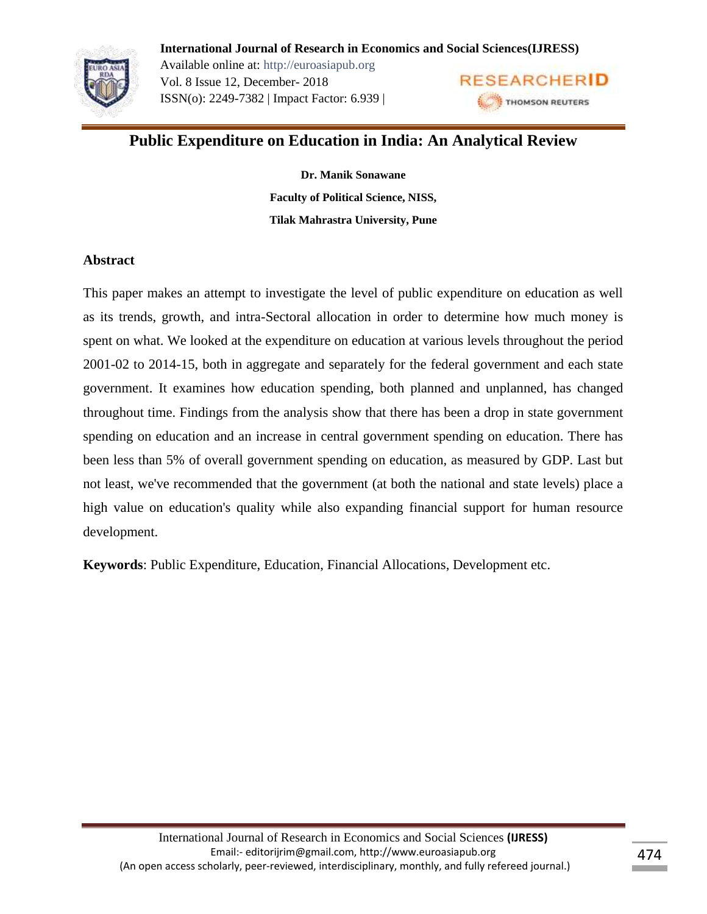

Available online at: http://euroasiapub.org Vol. 8 Issue 12, December- 2018 ISSN(o): 2249-7382 | Impact Factor: 6.939 |



# **Public Expenditure on Education in India: An Analytical Review**

**Dr. Manik Sonawane Faculty of Political Science, NISS, Tilak Mahrastra University, Pune**

# **Abstract**

This paper makes an attempt to investigate the level of public expenditure on education as well as its trends, growth, and intra-Sectoral allocation in order to determine how much money is spent on what. We looked at the expenditure on education at various levels throughout the period 2001-02 to 2014-15, both in aggregate and separately for the federal government and each state government. It examines how education spending, both planned and unplanned, has changed throughout time. Findings from the analysis show that there has been a drop in state government spending on education and an increase in central government spending on education. There has been less than 5% of overall government spending on education, as measured by GDP. Last but not least, we've recommended that the government (at both the national and state levels) place a high value on education's quality while also expanding financial support for human resource development.

**Keywords**: Public Expenditure, Education, Financial Allocations, Development etc.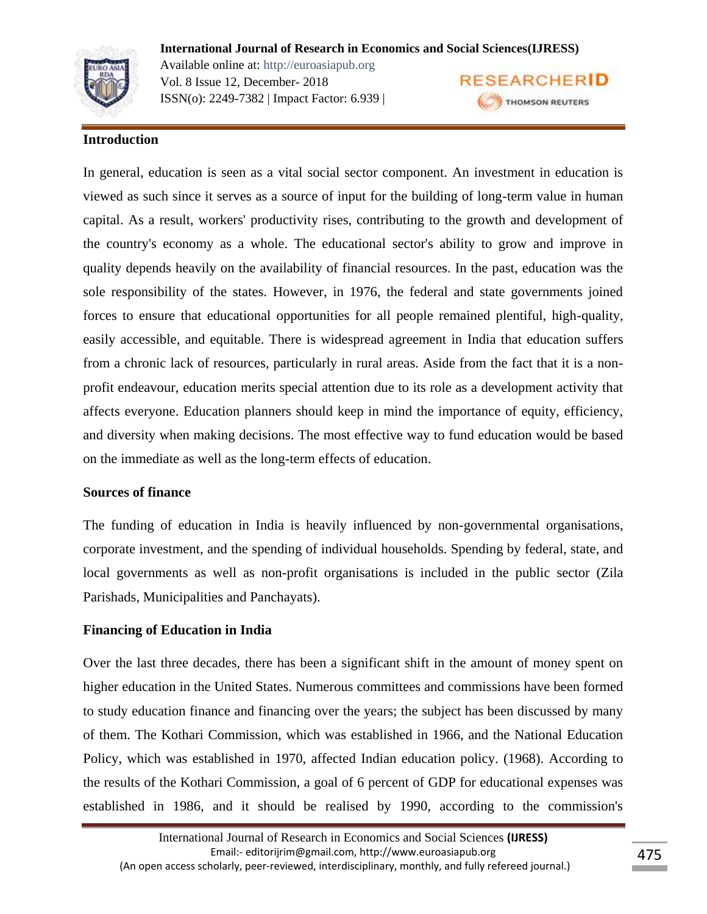Available online at: http://euroasiapub.org Vol. 8 Issue 12, December- 2018 ISSN(o): 2249-7382 | Impact Factor: 6.939 |



# **Introduction**

In general, education is seen as a vital social sector component. An investment in education is viewed as such since it serves as a source of input for the building of long-term value in human capital. As a result, workers' productivity rises, contributing to the growth and development of the country's economy as a whole. The educational sector's ability to grow and improve in quality depends heavily on the availability of financial resources. In the past, education was the sole responsibility of the states. However, in 1976, the federal and state governments joined forces to ensure that educational opportunities for all people remained plentiful, high-quality, easily accessible, and equitable. There is widespread agreement in India that education suffers from a chronic lack of resources, particularly in rural areas. Aside from the fact that it is a nonprofit endeavour, education merits special attention due to its role as a development activity that affects everyone. Education planners should keep in mind the importance of equity, efficiency, and diversity when making decisions. The most effective way to fund education would be based on the immediate as well as the long-term effects of education.

#### **Sources of finance**

The funding of education in India is heavily influenced by non-governmental organisations, corporate investment, and the spending of individual households. Spending by federal, state, and local governments as well as non-profit organisations is included in the public sector (Zila Parishads, Municipalities and Panchayats).

# **Financing of Education in India**

Over the last three decades, there has been a significant shift in the amount of money spent on higher education in the United States. Numerous committees and commissions have been formed to study education finance and financing over the years; the subject has been discussed by many of them. The Kothari Commission, which was established in 1966, and the National Education Policy, which was established in 1970, affected Indian education policy. (1968). According to the results of the Kothari Commission, a goal of 6 percent of GDP for educational expenses was established in 1986, and it should be realised by 1990, according to the commission's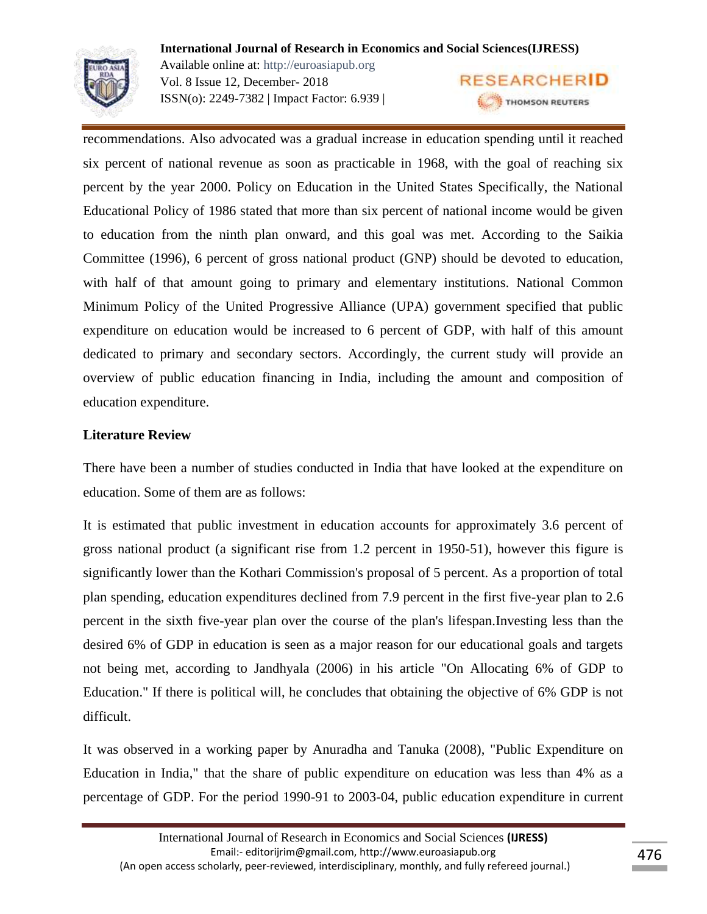

**International Journal of Research in Economics and Social Sciences(IJRESS)** Available online at: http://euroasiapub.org **RESEARCHERID** Vol. 8 Issue 12, December- 2018 ISSN(o): 2249-7382 | Impact Factor: 6.939 | THOMSON REUTERS

recommendations. Also advocated was a gradual increase in education spending until it reached six percent of national revenue as soon as practicable in 1968, with the goal of reaching six percent by the year 2000. Policy on Education in the United States Specifically, the National Educational Policy of 1986 stated that more than six percent of national income would be given to education from the ninth plan onward, and this goal was met. According to the Saikia Committee (1996), 6 percent of gross national product (GNP) should be devoted to education, with half of that amount going to primary and elementary institutions. National Common Minimum Policy of the United Progressive Alliance (UPA) government specified that public expenditure on education would be increased to 6 percent of GDP, with half of this amount dedicated to primary and secondary sectors. Accordingly, the current study will provide an overview of public education financing in India, including the amount and composition of education expenditure.

# **Literature Review**

There have been a number of studies conducted in India that have looked at the expenditure on education. Some of them are as follows:

It is estimated that public investment in education accounts for approximately 3.6 percent of gross national product (a significant rise from 1.2 percent in 1950-51), however this figure is significantly lower than the Kothari Commission's proposal of 5 percent. As a proportion of total plan spending, education expenditures declined from 7.9 percent in the first five-year plan to 2.6 percent in the sixth five-year plan over the course of the plan's lifespan.Investing less than the desired 6% of GDP in education is seen as a major reason for our educational goals and targets not being met, according to Jandhyala (2006) in his article "On Allocating 6% of GDP to Education." If there is political will, he concludes that obtaining the objective of 6% GDP is not difficult.

It was observed in a working paper by Anuradha and Tanuka (2008), "Public Expenditure on Education in India," that the share of public expenditure on education was less than 4% as a percentage of GDP. For the period 1990-91 to 2003-04, public education expenditure in current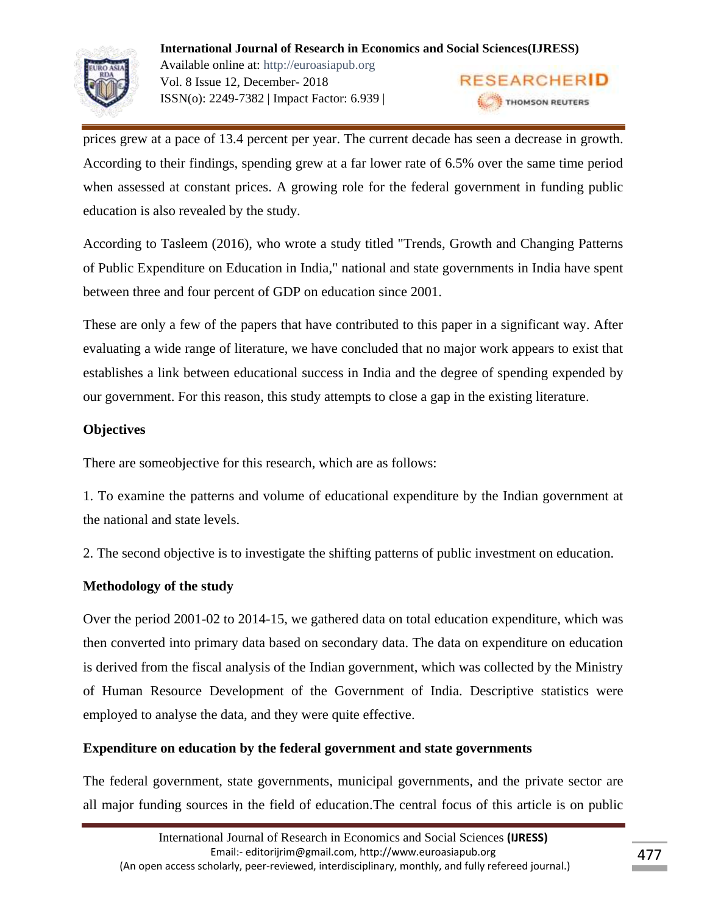

prices grew at a pace of 13.4 percent per year. The current decade has seen a decrease in growth. According to their findings, spending grew at a far lower rate of 6.5% over the same time period when assessed at constant prices. A growing role for the federal government in funding public education is also revealed by the study.

According to Tasleem (2016), who wrote a study titled "Trends, Growth and Changing Patterns of Public Expenditure on Education in India," national and state governments in India have spent between three and four percent of GDP on education since 2001.

These are only a few of the papers that have contributed to this paper in a significant way. After evaluating a wide range of literature, we have concluded that no major work appears to exist that establishes a link between educational success in India and the degree of spending expended by our government. For this reason, this study attempts to close a gap in the existing literature.

# **Objectives**

There are someobjective for this research, which are as follows:

1. To examine the patterns and volume of educational expenditure by the Indian government at the national and state levels.

2. The second objective is to investigate the shifting patterns of public investment on education.

# **Methodology of the study**

Over the period 2001-02 to 2014-15, we gathered data on total education expenditure, which was then converted into primary data based on secondary data. The data on expenditure on education is derived from the fiscal analysis of the Indian government, which was collected by the Ministry of Human Resource Development of the Government of India. Descriptive statistics were employed to analyse the data, and they were quite effective.

# **Expenditure on education by the federal government and state governments**

The federal government, state governments, municipal governments, and the private sector are all major funding sources in the field of education.The central focus of this article is on public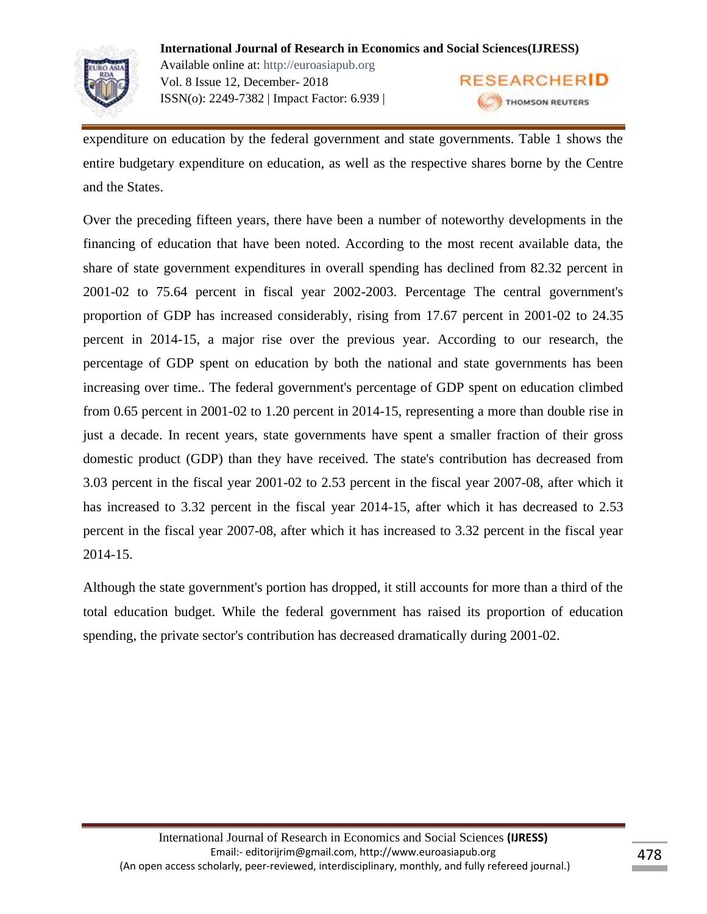

expenditure on education by the federal government and state governments. Table 1 shows the entire budgetary expenditure on education, as well as the respective shares borne by the Centre and the States.

Over the preceding fifteen years, there have been a number of noteworthy developments in the financing of education that have been noted. According to the most recent available data, the share of state government expenditures in overall spending has declined from 82.32 percent in 2001-02 to 75.64 percent in fiscal year 2002-2003. Percentage The central government's proportion of GDP has increased considerably, rising from 17.67 percent in 2001-02 to 24.35 percent in 2014-15, a major rise over the previous year. According to our research, the percentage of GDP spent on education by both the national and state governments has been increasing over time.. The federal government's percentage of GDP spent on education climbed from 0.65 percent in 2001-02 to 1.20 percent in 2014-15, representing a more than double rise in just a decade. In recent years, state governments have spent a smaller fraction of their gross domestic product (GDP) than they have received. The state's contribution has decreased from 3.03 percent in the fiscal year 2001-02 to 2.53 percent in the fiscal year 2007-08, after which it has increased to 3.32 percent in the fiscal year 2014-15, after which it has decreased to 2.53 percent in the fiscal year 2007-08, after which it has increased to 3.32 percent in the fiscal year 2014-15.

Although the state government's portion has dropped, it still accounts for more than a third of the total education budget. While the federal government has raised its proportion of education spending, the private sector's contribution has decreased dramatically during 2001-02.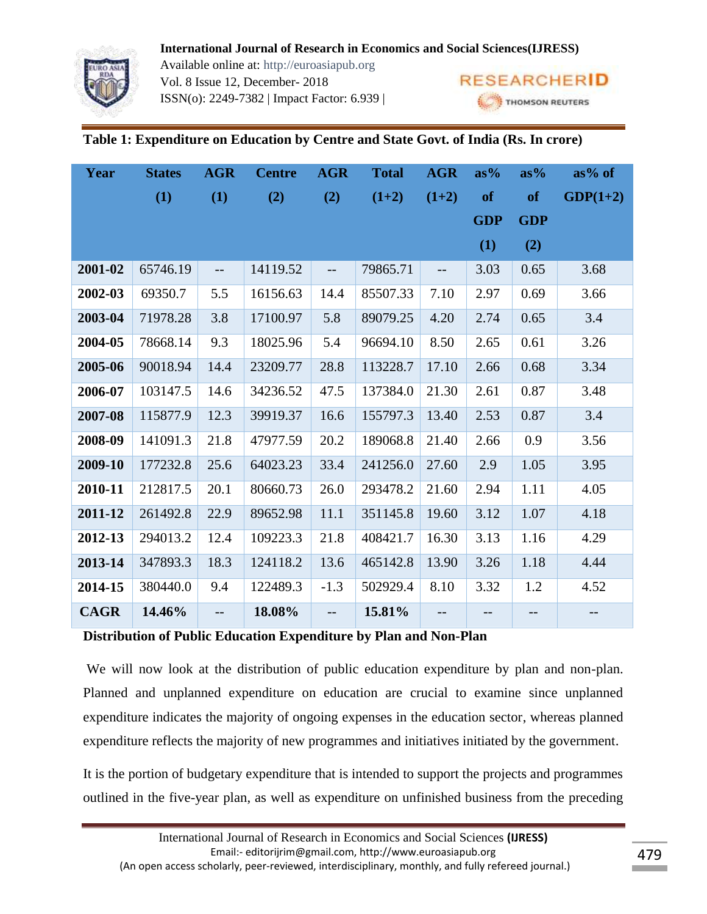Available online at: http://euroasiapub.org Vol. 8 Issue 12, December- 2018 ISSN(o): 2249-7382 | Impact Factor: 6.939 |



# **Table 1: Expenditure on Education by Centre and State Govt. of India (Rs. In crore)**

| Year        | <b>States</b> | <b>AGR</b>               | <b>Centre</b> | <b>AGR</b>               | <b>Total</b> | <b>AGR</b>               | $as\%$     | $as\%$            | $as\%$ of  |
|-------------|---------------|--------------------------|---------------|--------------------------|--------------|--------------------------|------------|-------------------|------------|
|             | (1)           | (1)                      | (2)           | (2)                      | $(1+2)$      | $(1+2)$                  | of         | of                | $GDP(1+2)$ |
|             |               |                          |               |                          |              |                          | <b>GDP</b> | <b>GDP</b>        |            |
|             |               |                          |               |                          |              |                          | (1)        | (2)               |            |
| 2001-02     | 65746.19      | $\overline{\phantom{m}}$ | 14119.52      | $\overline{\phantom{m}}$ | 79865.71     | $\overline{\phantom{m}}$ | 3.03       | 0.65              | 3.68       |
| 2002-03     | 69350.7       | 5.5                      | 16156.63      | 14.4                     | 85507.33     | 7.10                     | 2.97       | 0.69              | 3.66       |
| 2003-04     | 71978.28      | 3.8                      | 17100.97      | 5.8                      | 89079.25     | 4.20                     | 2.74       | 0.65              | 3.4        |
| 2004-05     | 78668.14      | 9.3                      | 18025.96      | 5.4                      | 96694.10     | 8.50                     | 2.65       | 0.61              | 3.26       |
| 2005-06     | 90018.94      | 14.4                     | 23209.77      | 28.8                     | 113228.7     | 17.10                    | 2.66       | 0.68              | 3.34       |
| 2006-07     | 103147.5      | 14.6                     | 34236.52      | 47.5                     | 137384.0     | 21.30                    | 2.61       | 0.87              | 3.48       |
| 2007-08     | 115877.9      | 12.3                     | 39919.37      | 16.6                     | 155797.3     | 13.40                    | 2.53       | 0.87              | 3.4        |
| 2008-09     | 141091.3      | 21.8                     | 47977.59      | 20.2                     | 189068.8     | 21.40                    | 2.66       | 0.9               | 3.56       |
| 2009-10     | 177232.8      | 25.6                     | 64023.23      | 33.4                     | 241256.0     | 27.60                    | 2.9        | 1.05              | 3.95       |
| 2010-11     | 212817.5      | 20.1                     | 80660.73      | 26.0                     | 293478.2     | 21.60                    | 2.94       | 1.11              | 4.05       |
| 2011-12     | 261492.8      | 22.9                     | 89652.98      | 11.1                     | 351145.8     | 19.60                    | 3.12       | 1.07              | 4.18       |
| 2012-13     | 294013.2      | 12.4                     | 109223.3      | 21.8                     | 408421.7     | 16.30                    | 3.13       | 1.16              | 4.29       |
| 2013-14     | 347893.3      | 18.3                     | 124118.2      | 13.6                     | 465142.8     | 13.90                    | 3.26       | 1.18              | 4.44       |
| 2014-15     | 380440.0      | 9.4                      | 122489.3      | $-1.3$                   | 502929.4     | 8.10                     | 3.32       | 1.2               | 4.52       |
| <b>CAGR</b> | 14.46%        | $-$                      | 18.08%        | $-$                      | 15.81%       | $-$                      | --         | $\qquad \qquad -$ | --         |

**Distribution of Public Education Expenditure by Plan and Non-Plan**

We will now look at the distribution of public education expenditure by plan and non-plan. Planned and unplanned expenditure on education are crucial to examine since unplanned expenditure indicates the majority of ongoing expenses in the education sector, whereas planned expenditure reflects the majority of new programmes and initiatives initiated by the government.

It is the portion of budgetary expenditure that is intended to support the projects and programmes outlined in the five-year plan, as well as expenditure on unfinished business from the preceding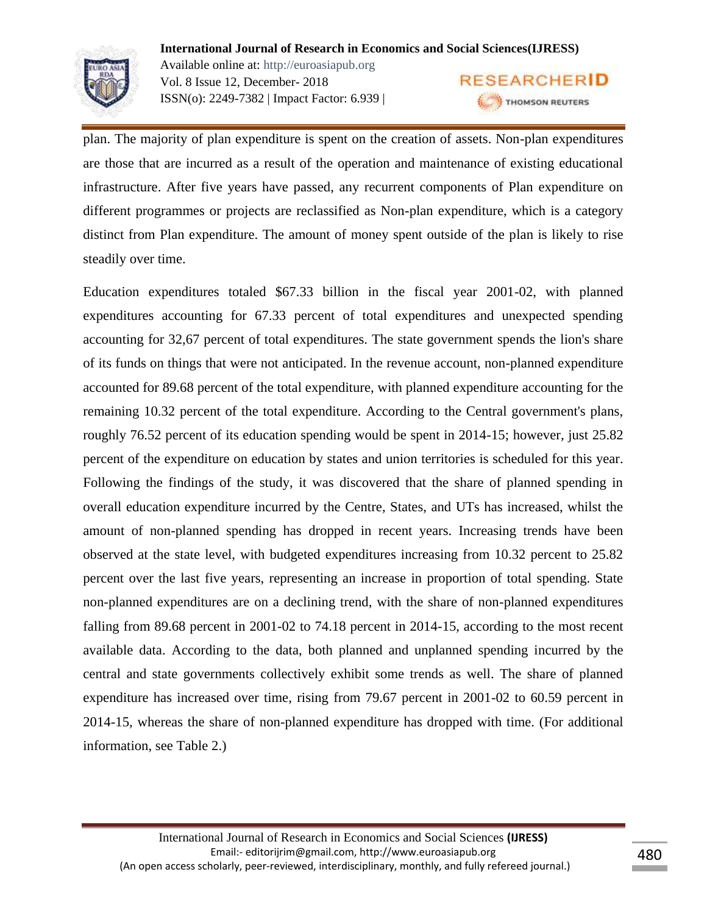

**International Journal of Research in Economics and Social Sciences(IJRESS)** Available online at: http://euroasiapub.org **RESEARCHERID** Vol. 8 Issue 12, December- 2018 ISSN(o): 2249-7382 | Impact Factor: 6.939 | THOMSON REUTERS

plan. The majority of plan expenditure is spent on the creation of assets. Non-plan expenditures are those that are incurred as a result of the operation and maintenance of existing educational infrastructure. After five years have passed, any recurrent components of Plan expenditure on different programmes or projects are reclassified as Non-plan expenditure, which is a category distinct from Plan expenditure. The amount of money spent outside of the plan is likely to rise steadily over time.

Education expenditures totaled \$67.33 billion in the fiscal year 2001-02, with planned expenditures accounting for 67.33 percent of total expenditures and unexpected spending accounting for 32,67 percent of total expenditures. The state government spends the lion's share of its funds on things that were not anticipated. In the revenue account, non-planned expenditure accounted for 89.68 percent of the total expenditure, with planned expenditure accounting for the remaining 10.32 percent of the total expenditure. According to the Central government's plans, roughly 76.52 percent of its education spending would be spent in 2014-15; however, just 25.82 percent of the expenditure on education by states and union territories is scheduled for this year. Following the findings of the study, it was discovered that the share of planned spending in overall education expenditure incurred by the Centre, States, and UTs has increased, whilst the amount of non-planned spending has dropped in recent years. Increasing trends have been observed at the state level, with budgeted expenditures increasing from 10.32 percent to 25.82 percent over the last five years, representing an increase in proportion of total spending. State non-planned expenditures are on a declining trend, with the share of non-planned expenditures falling from 89.68 percent in 2001-02 to 74.18 percent in 2014-15, according to the most recent available data. According to the data, both planned and unplanned spending incurred by the central and state governments collectively exhibit some trends as well. The share of planned expenditure has increased over time, rising from 79.67 percent in 2001-02 to 60.59 percent in 2014-15, whereas the share of non-planned expenditure has dropped with time. (For additional information, see Table 2.)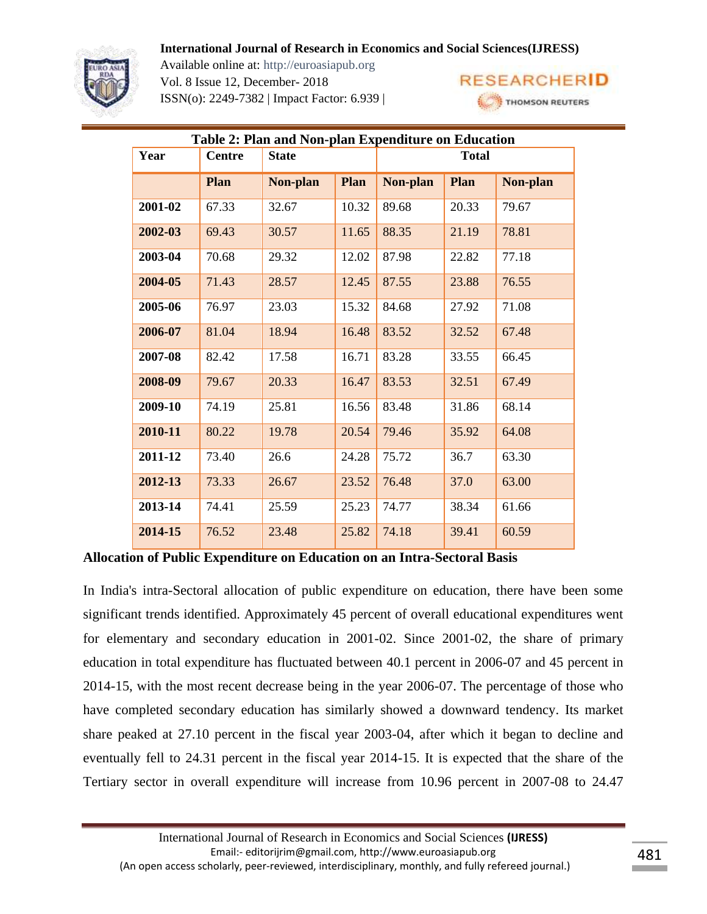

Available online at: http://euroasiapub.org Vol. 8 Issue 12, December- 2018 ISSN(o): 2249-7382 | Impact Factor: 6.939 |



| Table 2: Plan and Non-plan Expenditure on Education |               |              |       |              |       |          |  |
|-----------------------------------------------------|---------------|--------------|-------|--------------|-------|----------|--|
| Year                                                | <b>Centre</b> | <b>State</b> |       | <b>Total</b> |       |          |  |
|                                                     | Plan          | Non-plan     | Plan  | Non-plan     | Plan  | Non-plan |  |
| 2001-02                                             | 67.33         | 32.67        | 10.32 | 89.68        | 20.33 | 79.67    |  |
| 2002-03                                             | 69.43         | 30.57        | 11.65 | 88.35        | 21.19 | 78.81    |  |
| 2003-04                                             | 70.68         | 29.32        | 12.02 | 87.98        | 22.82 | 77.18    |  |
| 2004-05                                             | 71.43         | 28.57        | 12.45 | 87.55        | 23.88 | 76.55    |  |
| 2005-06                                             | 76.97         | 23.03        | 15.32 | 84.68        | 27.92 | 71.08    |  |
| 2006-07                                             | 81.04         | 18.94        | 16.48 | 83.52        | 32.52 | 67.48    |  |
| 2007-08                                             | 82.42         | 17.58        | 16.71 | 83.28        | 33.55 | 66.45    |  |
| 2008-09                                             | 79.67         | 20.33        | 16.47 | 83.53        | 32.51 | 67.49    |  |
| 2009-10                                             | 74.19         | 25.81        | 16.56 | 83.48        | 31.86 | 68.14    |  |
| 2010-11                                             | 80.22         | 19.78        | 20.54 | 79.46        | 35.92 | 64.08    |  |
| 2011-12                                             | 73.40         | 26.6         | 24.28 | 75.72        | 36.7  | 63.30    |  |
| 2012-13                                             | 73.33         | 26.67        | 23.52 | 76.48        | 37.0  | 63.00    |  |
| 2013-14                                             | 74.41         | 25.59        | 25.23 | 74.77        | 38.34 | 61.66    |  |
| 2014-15                                             | 76.52         | 23.48        | 25.82 | 74.18        | 39.41 | 60.59    |  |

**Allocation of Public Expenditure on Education on an Intra-Sectoral Basis**

In India's intra-Sectoral allocation of public expenditure on education, there have been some significant trends identified. Approximately 45 percent of overall educational expenditures went for elementary and secondary education in 2001-02. Since 2001-02, the share of primary education in total expenditure has fluctuated between 40.1 percent in 2006-07 and 45 percent in 2014-15, with the most recent decrease being in the year 2006-07. The percentage of those who have completed secondary education has similarly showed a downward tendency. Its market share peaked at 27.10 percent in the fiscal year 2003-04, after which it began to decline and eventually fell to 24.31 percent in the fiscal year 2014-15. It is expected that the share of the Tertiary sector in overall expenditure will increase from 10.96 percent in 2007-08 to 24.47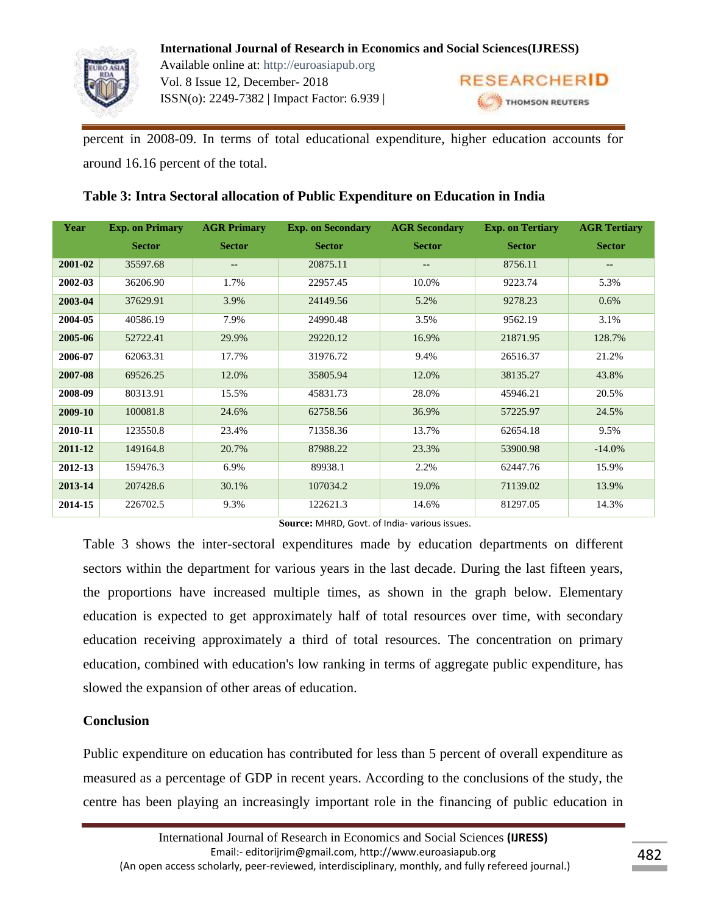

**International Journal of Research in Economics and Social Sciences(IJRESS)** Available online at: http://euroasiapub.org Vol. 8 Issue 12, December- 2018 ISSN(o): 2249-7382 | Impact Factor: 6.939 |

**RESEARCHERID** THOMSON REUTERS

percent in 2008-09. In terms of total educational expenditure, higher education accounts for around 16.16 percent of the total.

# **Table 3: Intra Sectoral allocation of Public Expenditure on Education in India**

| Year    | <b>Exp. on Primary</b> | <b>AGR Primary</b> | <b>Exp. on Secondary</b> | <b>AGR</b> Secondary     | <b>Exp. on Tertiary</b> | <b>AGR Tertiary</b> |
|---------|------------------------|--------------------|--------------------------|--------------------------|-------------------------|---------------------|
|         | <b>Sector</b>          | <b>Sector</b>      | <b>Sector</b>            | <b>Sector</b>            | <b>Sector</b>           | <b>Sector</b>       |
| 2001-02 | 35597.68               | $- -$              | 20875.11                 | $\overline{\phantom{m}}$ | 8756.11                 | --                  |
| 2002-03 | 36206.90               | 1.7%               | 22957.45                 | 10.0%                    | 9223.74                 | 5.3%                |
| 2003-04 | 37629.91               | 3.9%               | 24149.56                 | 5.2%                     | 9278.23                 | 0.6%                |
| 2004-05 | 40586.19               | 7.9%               | 24990.48                 | 3.5%                     | 9562.19                 | 3.1%                |
| 2005-06 | 52722.41               | 29.9%              | 29220.12                 | 16.9%                    | 21871.95                | 128.7%              |
| 2006-07 | 62063.31               | 17.7%              | 31976.72                 | 9.4%                     | 26516.37                | 21.2%               |
| 2007-08 | 69526.25               | 12.0%              | 35805.94                 | 12.0%                    | 38135.27                | 43.8%               |
| 2008-09 | 80313.91               | 15.5%              | 45831.73                 | 28.0%                    | 45946.21                | 20.5%               |
| 2009-10 | 100081.8               | 24.6%              | 62758.56                 | 36.9%                    | 57225.97                | 24.5%               |
| 2010-11 | 123550.8               | 23.4%              | 71358.36                 | 13.7%                    | 62654.18                | 9.5%                |
| 2011-12 | 149164.8               | 20.7%              | 87988.22                 | 23.3%                    | 53900.98                | $-14.0%$            |
| 2012-13 | 159476.3               | 6.9%               | 89938.1                  | 2.2%                     | 62447.76                | 15.9%               |
| 2013-14 | 207428.6               | 30.1%              | 107034.2                 | 19.0%                    | 71139.02                | 13.9%               |
| 2014-15 | 226702.5               | 9.3%               | 122621.3                 | 14.6%                    | 81297.05                | 14.3%               |

**Source:** MHRD, Govt. of India- various issues.

Table 3 shows the inter-sectoral expenditures made by education departments on different sectors within the department for various years in the last decade. During the last fifteen years, the proportions have increased multiple times, as shown in the graph below. Elementary education is expected to get approximately half of total resources over time, with secondary education receiving approximately a third of total resources. The concentration on primary education, combined with education's low ranking in terms of aggregate public expenditure, has slowed the expansion of other areas of education.

# **Conclusion**

Public expenditure on education has contributed for less than 5 percent of overall expenditure as measured as a percentage of GDP in recent years. According to the conclusions of the study, the centre has been playing an increasingly important role in the financing of public education in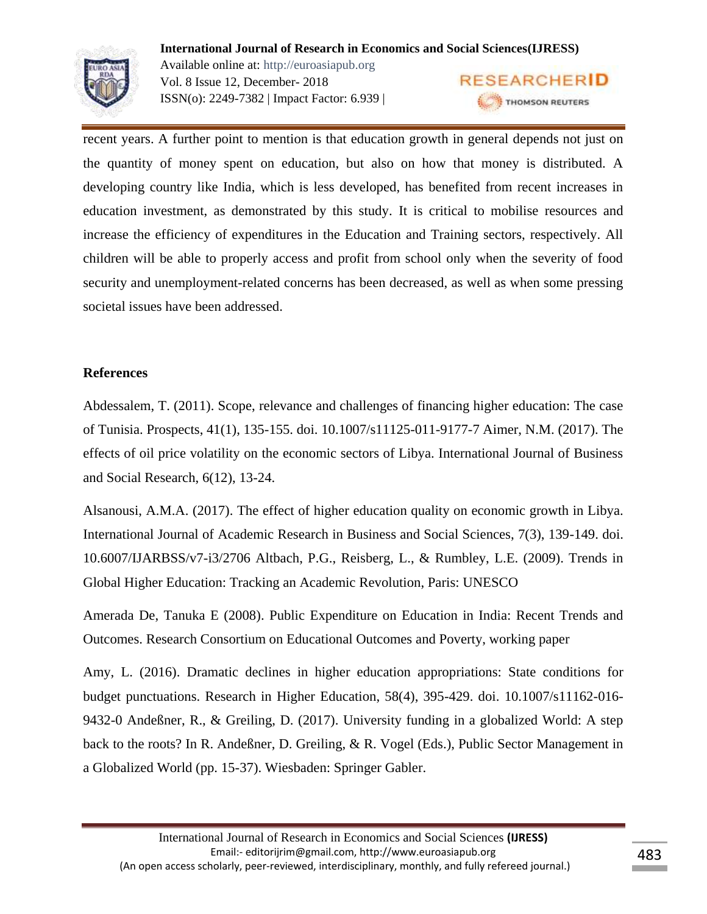

**International Journal of Research in Economics and Social Sciences(IJRESS)** Available online at: http://euroasiapub.org **RESEARCHERID** Vol. 8 Issue 12, December- 2018 ISSN(o): 2249-7382 | Impact Factor: 6.939 | THOMSON REUTERS

recent years. A further point to mention is that education growth in general depends not just on the quantity of money spent on education, but also on how that money is distributed. A developing country like India, which is less developed, has benefited from recent increases in education investment, as demonstrated by this study. It is critical to mobilise resources and increase the efficiency of expenditures in the Education and Training sectors, respectively. All children will be able to properly access and profit from school only when the severity of food security and unemployment-related concerns has been decreased, as well as when some pressing societal issues have been addressed.

# **References**

Abdessalem, T. (2011). Scope, relevance and challenges of financing higher education: The case of Tunisia. Prospects, 41(1), 135-155. doi. 10.1007/s11125-011-9177-7 Aimer, N.M. (2017). The effects of oil price volatility on the economic sectors of Libya. International Journal of Business and Social Research, 6(12), 13-24.

Alsanousi, A.M.A. (2017). The effect of higher education quality on economic growth in Libya. International Journal of Academic Research in Business and Social Sciences, 7(3), 139-149. doi. 10.6007/IJARBSS/v7-i3/2706 Altbach, P.G., Reisberg, L., & Rumbley, L.E. (2009). Trends in Global Higher Education: Tracking an Academic Revolution, Paris: UNESCO

Amerada De, Tanuka E (2008). Public Expenditure on Education in India: Recent Trends and Outcomes. Research Consortium on Educational Outcomes and Poverty, working paper

Amy, L. (2016). Dramatic declines in higher education appropriations: State conditions for budget punctuations. Research in Higher Education, 58(4), 395-429. doi. 10.1007/s11162-016- 9432-0 Andeßner, R., & Greiling, D. (2017). University funding in a globalized World: A step back to the roots? In R. Andeßner, D. Greiling, & R. Vogel (Eds.), Public Sector Management in a Globalized World (pp. 15-37). Wiesbaden: Springer Gabler.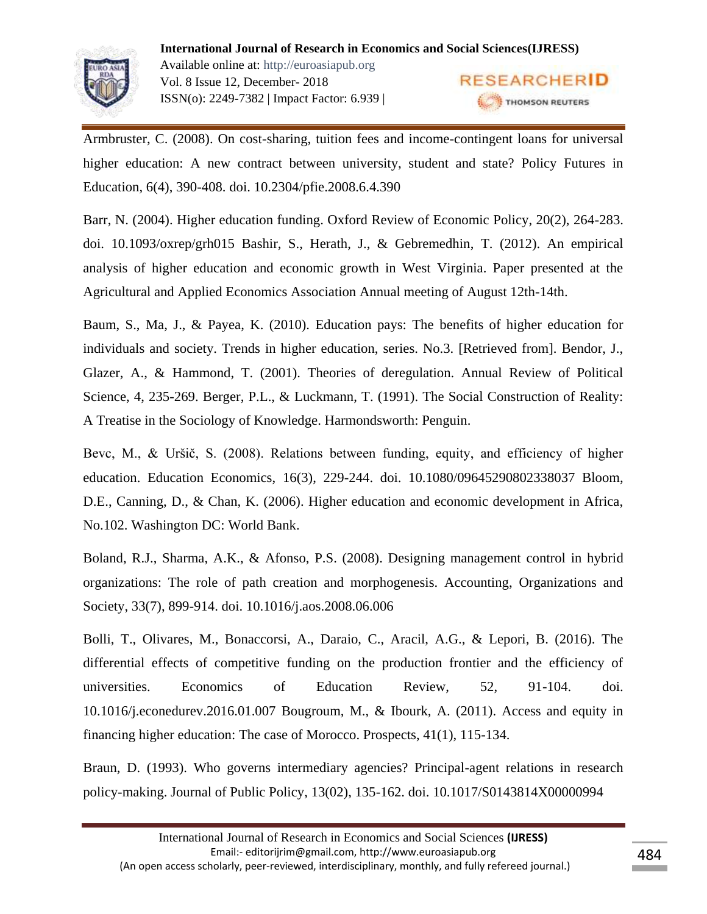

Armbruster, C. (2008). On cost-sharing, tuition fees and income-contingent loans for universal higher education: A new contract between university, student and state? Policy Futures in Education, 6(4), 390-408. doi. 10.2304/pfie.2008.6.4.390

Barr, N. (2004). Higher education funding. Oxford Review of Economic Policy, 20(2), 264-283. doi. 10.1093/oxrep/grh015 Bashir, S., Herath, J., & Gebremedhin, T. (2012). An empirical analysis of higher education and economic growth in West Virginia. Paper presented at the Agricultural and Applied Economics Association Annual meeting of August 12th-14th.

Baum, S., Ma, J., & Payea, K. (2010). Education pays: The benefits of higher education for individuals and society. Trends in higher education, series. No.3. [Retrieved from]. Bendor, J., Glazer, A., & Hammond, T. (2001). Theories of deregulation. Annual Review of Political Science, 4, 235-269. Berger, P.L., & Luckmann, T. (1991). The Social Construction of Reality: A Treatise in the Sociology of Knowledge. Harmondsworth: Penguin.

Bevc, M., & Uršič, S. (2008). Relations between funding, equity, and efficiency of higher education. Education Economics, 16(3), 229-244. doi. 10.1080/09645290802338037 Bloom, D.E., Canning, D., & Chan, K. (2006). Higher education and economic development in Africa, No.102. Washington DC: World Bank.

Boland, R.J., Sharma, A.K., & Afonso, P.S. (2008). Designing management control in hybrid organizations: The role of path creation and morphogenesis. Accounting, Organizations and Society, 33(7), 899-914. doi. 10.1016/j.aos.2008.06.006

Bolli, T., Olivares, M., Bonaccorsi, A., Daraio, C., Aracil, A.G., & Lepori, B. (2016). The differential effects of competitive funding on the production frontier and the efficiency of universities. Economics of Education Review, 52, 91-104. doi. 10.1016/j.econedurev.2016.01.007 Bougroum, M., & Ibourk, A. (2011). Access and equity in financing higher education: The case of Morocco. Prospects, 41(1), 115-134.

Braun, D. (1993). Who governs intermediary agencies? Principal-agent relations in research policy-making. Journal of Public Policy, 13(02), 135-162. doi. 10.1017/S0143814X00000994